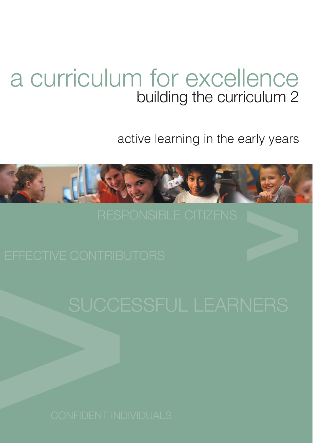# a curriculum for excellence building the curriculum 2

active learning in the early years

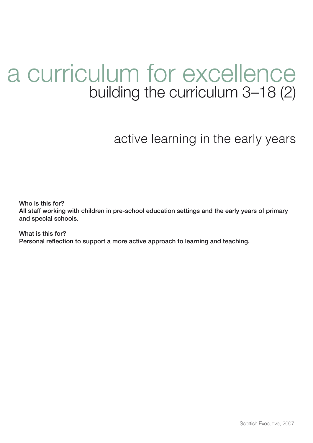# a curriculum for excellence building the curriculum 3–18 (2)

active learning in the early years

**Who is this for? All staff working with children in pre-school education settings and the early years of primary and special schools.**

**What is this for? Personal reflection to support a more active approach to learning and teaching.**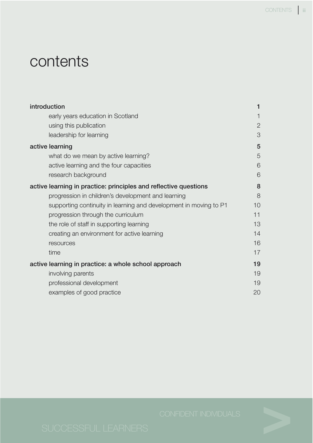# contents

| introduction                                                      | 1            |
|-------------------------------------------------------------------|--------------|
| early years education in Scotland                                 |              |
| using this publication                                            | $\mathbf{2}$ |
| leadership for learning                                           | 3            |
| active learning                                                   | 5            |
| what do we mean by active learning?                               | 5            |
| active learning and the four capacities                           | 6            |
| research background                                               | 6            |
| active learning in practice: principles and reflective questions  | 8            |
| progression in children's development and learning                | 8            |
| supporting continuity in learning and development in moving to P1 | 10           |
| progression through the curriculum                                | 11           |
| the role of staff in supporting learning                          | 13           |
| creating an environment for active learning                       | 14           |
| resources                                                         | 16           |
| time                                                              | 17           |
| active learning in practice: a whole school approach              | 19           |
| involving parents                                                 | 19           |
| professional development                                          | 19           |
| examples of good practice                                         | 20           |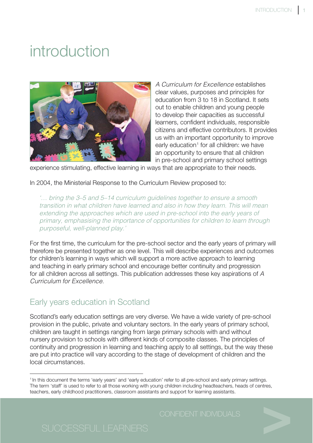# <span id="page-3-0"></span>introduction



A Curriculum for Excellence establishes clear values, purposes and principles for education from 3 to 18 in Scotland. It sets out to enable children and young people to develop their capacities as successful learners, confident individuals, responsible citizens and effective contributors. It provides us with an important opportunity to improve early education<sup>1</sup> for all children: we have an opportunity to ensure that all children in pre-school and primary school settings

experience stimulating, effective learning in ways that are appropriate to their needs.

In 2004, the Ministerial Response to the Curriculum Review proposed to:

'… bring the 3–5 and 5–14 curriculum guidelines together to ensure a smooth transition in what children have learned and also in how they learn. This will mean extending the approaches which are used in pre-school into the early years of primary, emphasising the importance of opportunities for children to learn through purposeful, well-planned play.'

For the first time, the curriculum for the pre-school sector and the early years of primary will therefore be presented together as one level. This will describe experiences and outcomes for children's learning in ways which will support a more active approach to learning and teaching in early primary school and encourage better continuity and progression for all children across all settings. This publication addresses these key aspirations of A Curriculum for Excellence.

# Early years education in Scotland

Scotland's early education settings are very diverse. We have a wide variety of pre-school provision in the public, private and voluntary sectors. In the early years of primary school, children are taught in settings ranging from large primary schools with and without nursery provision to schools with different kinds of composite classes. The principles of continuity and progression in learning and teaching apply to all settings, but the way these are put into practice will vary according to the stage of development of children and the local circumstances.

<sup>&</sup>lt;sup>1</sup> In this document the terms 'early years' and 'early education' refer to all pre-school and early primary settings. The term 'staff' is used to refer to all those working with young children including headteachers, heads of centres, teachers, early childhood practitioners, classroom assistants and support for learning assistants.

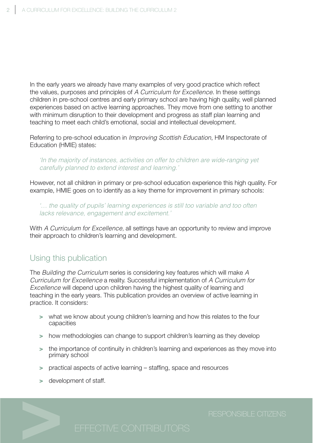<span id="page-4-0"></span>In the early years we already have many examples of very good practice which reflect the values, purposes and principles of A Curriculum for Excellence. In these settings children in pre-school centres and early primary school are having high quality, well planned experiences based on active learning approaches. They move from one setting to another with minimum disruption to their development and progress as staff plan learning and teaching to meet each child's emotional, social and intellectual development.

Referring to pre-school education in Improving Scottish Education, HM Inspectorate of Education (HMIE) states:

'In the majority of instances, activities on offer to children are wide-ranging yet carefully planned to extend interest and learning.'

However, not all children in primary or pre-school education experience this high quality. For example, HMIE goes on to identify as a key theme for improvement in primary schools:

'… the quality of pupils' learning experiences is still too variable and too often lacks relevance, engagement and excitement.'

With A Curriculum for Excellence, all settings have an opportunity to review and improve their approach to children's learning and development.

# Using this publication

The Building the Curriculum series is considering key features which will make A Curriculum for Excellence a reality. Successful implementation of A Curriculum for Excellence will depend upon children having the highest quality of learning and teaching in the early years. This publication provides an overview of active learning in practice. It considers:

- **>** what we know about young children's learning and how this relates to the four capacities
- **>** how methodologies can change to support children's learning as they develop
- **>** the importance of continuity in children's learning and experiences as they move into primary school
- **>** practical aspects of active learning staffing, space and resources
- **>** development of staff.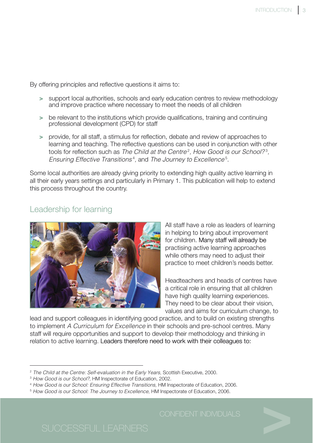<span id="page-5-0"></span>By offering principles and reflective questions it aims to:

- **>** support local authorities, schools and early education centres to review methodology and improve practice where necessary to meet the needs of all children
- **>** be relevant to the institutions which provide qualifications, training and continuing professional development (CPD) for staff
- **>** provide, for all staff, a stimulus for reflection, debate and review of approaches to learning and teaching. The reflective questions can be used in conjunction with other tools for reflection such as The Child at the Centre<sup>2</sup>, How Good is our School?<sup>3</sup>, Ensuring Effective Transitions<sup>4</sup>, and The Journey to Excellence<sup>5</sup>.

Some local authorities are already giving priority to extending high quality active learning in all their early years settings and particularly in Primary 1. This publication will help to extend this process throughout the country.

## Leadership for learning



All staff have a role as leaders of learning in helping to bring about improvement for children. Many staff will already be practising active learning approaches while others may need to adjust their practice to meet children's needs better.

Headteachers and heads of centres have a critical role in ensuring that all children have high quality learning experiences. They need to be clear about their vision, values and aims for curriculum change, to

lead and support colleagues in identifying good practice, and to build on existing strengths to implement A Curriculum for Excellence in their schools and pre-school centres. Many staff will require opportunities and support to develop their methodology and thinking in relation to active learning. Leaders therefore need to work with their colleagues to:

<sup>4</sup> How Good is our School: Ensuring Effective Transitions, HM Inspectorate of Education, 2006.

<sup>&</sup>lt;sup>2</sup> The Child at the Centre: Self-evaluation in the Early Years, Scottish Executive, 2000.

<sup>&</sup>lt;sup>3</sup> How Good is our School?, HM Inspectorate of Education, 2002.

<sup>&</sup>lt;sup>5</sup> How Good is our School: The Journey to Excellence, HM Inspectorate of Education, 2006.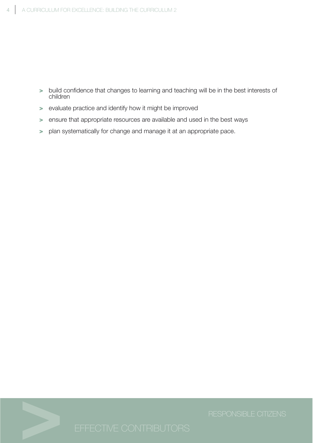- **>** build confidence that changes to learning and teaching will be in the best interests of children
- **>** evaluate practice and identify how it might be improved
- **>** ensure that appropriate resources are available and used in the best ways
- **>** plan systematically for change and manage it at an appropriate pace.

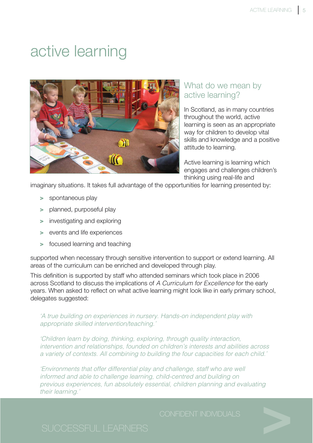# <span id="page-7-0"></span>active learning



# What do we mean by active learning?

In Scotland, as in many countries throughout the world, active learning is seen as an appropriate way for children to develop vital skills and knowledge and a positive attitude to learning.

Active learning is learning which engages and challenges children's thinking using real-life and

imaginary situations. It takes full advantage of the opportunities for learning presented by:

- **>** spontaneous play
- **>** planned, purposeful play
- **>** investigating and exploring
- **>** events and life experiences
- **>** focused learning and teaching

supported when necessary through sensitive intervention to support or extend learning. All areas of the curriculum can be enriched and developed through play.

This definition is supported by staff who attended seminars which took place in 2006 across Scotland to discuss the implications of A Curriculum for Excellence for the early years. When asked to reflect on what active learning might look like in early primary school, delegates suggested:

### 'A true building on experiences in nursery. Hands-on independent play with appropriate skilled intervention/teaching.'

'Children learn by doing, thinking, exploring, through quality interaction, intervention and relationships, founded on children's interests and abilities across a variety of contexts. All combining to building the four capacities for each child.'

'Environments that offer differential play and challenge, staff who are well informed and able to challenge learning, child-centred and building on previous experiences, fun absolutely essential, children planning and evaluating their learning.'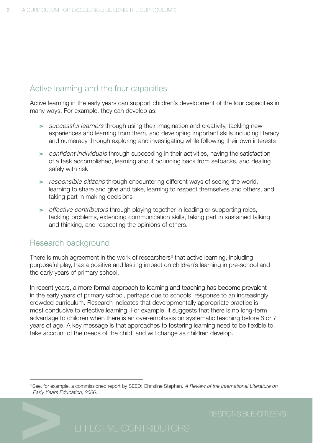# <span id="page-8-0"></span>Active learning and the four capacities

Active learning in the early years can support children's development of the four capacities in many ways. For example, they can develop as:

- **>** successful learners through using their imagination and creativity, tackling new experiences and learning from them, and developing important skills including literacy and numeracy through exploring and investigating while following their own interests
- **>** confident individuals through succeeding in their activities, having the satisfaction of a task accomplished, learning about bouncing back from setbacks, and dealing safely with risk
- **>** responsible citizens through encountering different ways of seeing the world, learning to share and give and take, learning to respect themselves and others, and taking part in making decisions
- **>** effective contributors through playing together in leading or supporting roles, tackling problems, extending communication skills, taking part in sustained talking and thinking, and respecting the opinions of others.

# Research background

There is much agreement in the work of researchers $6$  that active learning, including purposeful play, has a positive and lasting impact on children's learning in pre-school and the early years of primary school.

In recent years, a more formal approach to learning and teaching has become prevalent in the early years of primary school, perhaps due to schools' response to an increasingly crowded curriculum. Research indicates that developmentally appropriate practice is most conducive to effective learning. For example, it suggests that there is no long-term advantage to children when there is an over-emphasis on systematic teaching before 6 or 7 years of age. A key message is that approaches to fostering learning need to be flexible to take account of the needs of the child, and will change as children develop.

<sup>&</sup>lt;sup>6</sup> See, for example, a commissioned report by SEED: Christine Stephen, A Review of the International Literature on Early Years Education, 2006.

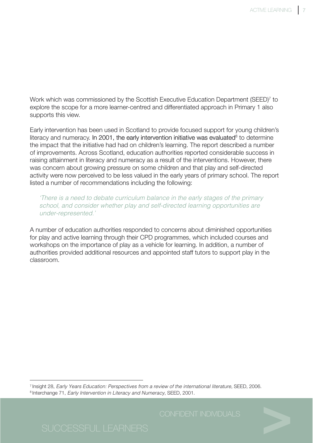Work which was commissioned by the Scottish Executive Education Department (SEED)<sup>7</sup> to explore the scope for a more learner-centred and differentiated approach in Primary 1 also supports this view.

Early intervention has been used in Scotland to provide focused support for young children's literacy and numeracy. In 2001, the early intervention initiative was evaluated<sup>8</sup> to determine the impact that the initiative had had on children's learning. The report described a number of improvements. Across Scotland, education authorities reported considerable success in raising attainment in literacy and numeracy as a result of the interventions. However, there was concern about growing pressure on some children and that play and self-directed activity were now perceived to be less valued in the early years of primary school. The report listed a number of recommendations including the following:

'There is a need to debate curriculum balance in the early stages of the primary school, and consider whether play and self-directed learning opportunities are under-represented.'

A number of education authorities responded to concerns about diminished opportunities for play and active learning through their CPD programmes, which included courses and workshops on the importance of play as a vehicle for learning. In addition, a number of authorities provided additional resources and appointed staff tutors to support play in the classroom.

<sup>7</sup> Insight 28, Early Years Education: Perspectives from a review of the international literature, SEED, 2006.

<sup>8</sup> Interchange 71, Early Intervention in Literacy and Numeracy, SEED, 2001.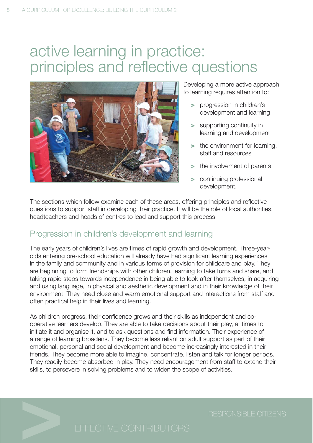# <span id="page-10-0"></span>active learning in practice: principles and reflective questions



Developing a more active approach to learning requires attention to:

- **>** progression in children's development and learning
- **>** supporting continuity in learning and development
- **>** the environment for learning, staff and resources
- **>** the involvement of parents
- **>** continuing professional development.

The sections which follow examine each of these areas, offering principles and reflective questions to support staff in developing their practice. It will be the role of local authorities, headteachers and heads of centres to lead and support this process.

# Progression in children's development and learning

The early years of children's lives are times of rapid growth and development. Three-yearolds entering pre-school education will already have had significant learning experiences in the family and community and in various forms of provision for childcare and play. They are beginning to form friendships with other children, learning to take turns and share, and taking rapid steps towards independence in being able to look after themselves, in acquiring and using language, in physical and aesthetic development and in their knowledge of their environment. They need close and warm emotional support and interactions from staff and often practical help in their lives and learning.

As children progress, their confidence grows and their skills as independent and cooperative learners develop. They are able to take decisions about their play, at times to initiate it and organise it, and to ask questions and find information. Their experience of a range of learning broadens. They become less reliant on adult support as part of their emotional, personal and social development and become increasingly interested in their friends. They become more able to imagine, concentrate, listen and talk for longer periods. They readily become absorbed in play. They need encouragement from staff to extend their skills, to persevere in solving problems and to widen the scope of activities.

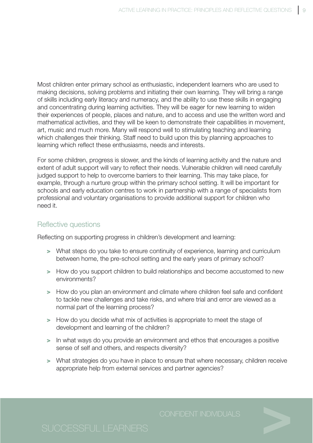Most children enter primary school as enthusiastic, independent learners who are used to making decisions, solving problems and initiating their own learning. They will bring a range of skills including early literacy and numeracy, and the ability to use these skills in engaging and concentrating during learning activities. They will be eager for new learning to widen their experiences of people, places and nature, and to access and use the written word and mathematical activities, and they will be keen to demonstrate their capabilities in movement, art, music and much more. Many will respond well to stimulating teaching and learning which challenges their thinking. Staff need to build upon this by planning approaches to learning which reflect these enthusiasms, needs and interests.

For some children, progress is slower, and the kinds of learning activity and the nature and extent of adult support will vary to reflect their needs. Vulnerable children will need carefully judged support to help to overcome barriers to their learning. This may take place, for example, through a nurture group within the primary school setting. It will be important for schools and early education centres to work in partnership with a range of specialists from professional and voluntary organisations to provide additional support for children who need it.

## Reflective questions

Reflecting on supporting progress in children's development and learning:

- **>** What steps do you take to ensure continuity of experience, learning and curriculum between home, the pre-school setting and the early years of primary school?
- **>** How do you support children to build relationships and become accustomed to new environments?
- **>** How do you plan an environment and climate where children feel safe and confident to tackle new challenges and take risks, and where trial and error are viewed as a normal part of the learning process?
- **>** How do you decide what mix of activities is appropriate to meet the stage of development and learning of the children?
- **>** In what ways do you provide an environment and ethos that encourages a positive sense of self and others, and respects diversity?
- **>** What strategies do you have in place to ensure that where necessary, children receive appropriate help from external services and partner agencies?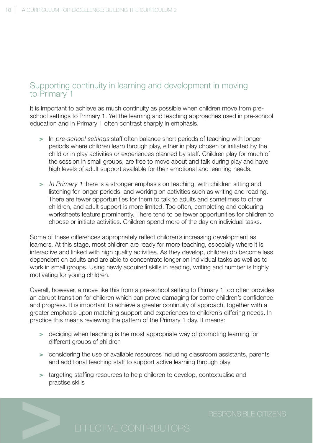# <span id="page-12-0"></span>Supporting continuity in learning and development in moving to Primary 1

It is important to achieve as much continuity as possible when children move from preschool settings to Primary 1. Yet the learning and teaching approaches used in pre-school education and in Primary 1 often contrast sharply in emphasis.

- **>** In pre-school settings staff often balance short periods of teaching with longer periods where children learn through play, either in play chosen or initiated by the child or in play activities or experiences planned by staff. Children play for much of the session in small groups, are free to move about and talk during play and have high levels of adult support available for their emotional and learning needs.
- **>** In Primary 1 there is a stronger emphasis on teaching, with children sitting and listening for longer periods, and working on activities such as writing and reading. There are fewer opportunities for them to talk to adults and sometimes to other children, and adult support is more limited. Too often, completing and colouring worksheets feature prominently. There tend to be fewer opportunities for children to choose or initiate activities. Children spend more of the day on individual tasks.

Some of these differences appropriately reflect children's increasing development as learners. At this stage, most children are ready for more teaching, especially where it is interactive and linked with high quality activities. As they develop, children do become less dependent on adults and are able to concentrate longer on individual tasks as well as to work in small groups. Using newly acquired skills in reading, writing and number is highly motivating for young children.

Overall, however, a move like this from a pre-school setting to Primary 1 too often provides an abrupt transition for children which can prove damaging for some children's confidence and progress. It is important to achieve a greater continuity of approach, together with a greater emphasis upon matching support and experiences to children's differing needs. In practice this means reviewing the pattern of the Primary 1 day. It means:

- **>** deciding when teaching is the most appropriate way of promoting learning for different groups of children
- **>** considering the use of available resources including classroom assistants, parents and additional teaching staff to support active learning through play
- **>** targeting staffing resources to help children to develop, contextualise and practise skills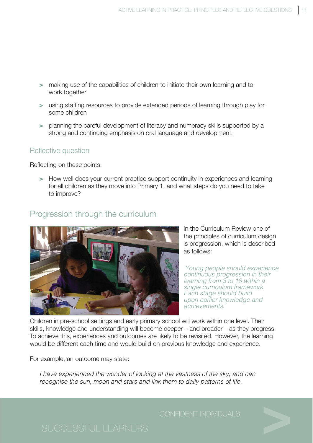- <span id="page-13-0"></span>**>** making use of the capabilities of children to initiate their own learning and to work together
- **>** using staffing resources to provide extended periods of learning through play for some children
- **>** planning the careful development of literacy and numeracy skills supported by a strong and continuing emphasis on oral language and development.

## Reflective question

Reflecting on these points:

**>** How well does your current practice support continuity in experiences and learning for all children as they move into Primary 1, and what steps do you need to take to improve?

# Progression through the curriculum



In the Curriculum Review one of the principles of curriculum design is progression, which is described as follows:

'Young people should experience continuous progression in their learning from 3 to 18 within a single curriculum framework. Each stage should build upon earlier knowledge and achievements.'

Children in pre-school settings and early primary school will work within one level. Their skills, knowledge and understanding will become deeper – and broader – as they progress. To achieve this, experiences and outcomes are likely to be revisited. However, the learning would be different each time and would build on previous knowledge and experience.

For example, an outcome may state:

I have experienced the wonder of looking at the vastness of the sky, and can recognise the sun, moon and stars and link them to daily patterns of life.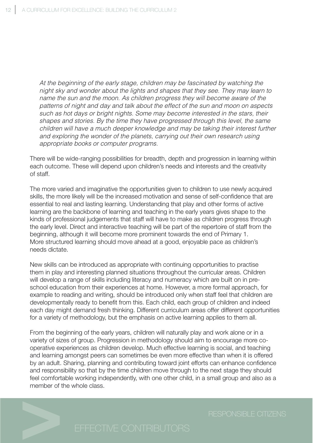At the beginning of the early stage, children may be fascinated by watching the night sky and wonder about the lights and shapes that they see. They may learn to name the sun and the moon. As children progress they will become aware of the patterns of night and day and talk about the effect of the sun and moon on aspects such as hot days or bright nights. Some may become interested in the stars, their shapes and stories. By the time they have progressed through this level, the same children will have a much deeper knowledge and may be taking their interest further and exploring the wonder of the planets, carrying out their own research using appropriate books or computer programs.

There will be wide-ranging possibilities for breadth, depth and progression in learning within each outcome. These will depend upon children's needs and interests and the creativity of staff.

The more varied and imaginative the opportunities given to children to use newly acquired skills, the more likely will be the increased motivation and sense of self-confidence that are essential to real and lasting learning. Understanding that play and other forms of active learning are the backbone of learning and teaching in the early years gives shape to the kinds of professional judgements that staff will have to make as children progress through the early level. Direct and interactive teaching will be part of the repertoire of staff from the beginning, although it will become more prominent towards the end of Primary 1. More structured learning should move ahead at a good, enjoyable pace as children's needs dictate.

New skills can be introduced as appropriate with continuing opportunities to practise them in play and interesting planned situations throughout the curricular areas. Children will develop a range of skills including literacy and numeracy which are built on in preschool education from their experiences at home. However, a more formal approach, for example to reading and writing, should be introduced only when staff feel that children are developmentally ready to benefit from this. Each child, each group of children and indeed each day might demand fresh thinking. Different curriculum areas offer different opportunities for a variety of methodology, but the emphasis on active learning applies to them all.

From the beginning of the early years, children will naturally play and work alone or in a variety of sizes of group. Progression in methodology should aim to encourage more cooperative experiences as children develop. Much effective learning is social, and teaching and learning amongst peers can sometimes be even more effective than when it is offered by an adult. Sharing, planning and contributing toward joint efforts can enhance confidence and responsibility so that by the time children move through to the next stage they should feel comfortable working independently, with one other child, in a small group and also as a member of the whole class.

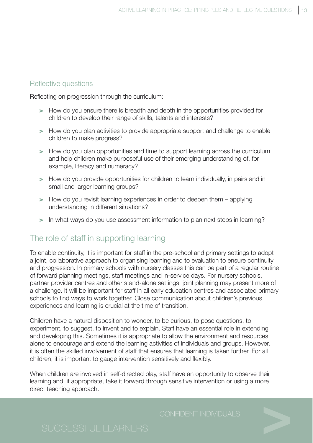## <span id="page-15-0"></span>Reflective questions

Reflecting on progression through the curriculum:

- **>** How do you ensure there is breadth and depth in the opportunities provided for children to develop their range of skills, talents and interests?
- **>** How do you plan activities to provide appropriate support and challenge to enable children to make progress?
- **>** How do you plan opportunities and time to support learning across the curriculum and help children make purposeful use of their emerging understanding of, for example, literacy and numeracy?
- **>** How do you provide opportunities for children to learn individually, in pairs and in small and larger learning groups?
- **>** How do you revisit learning experiences in order to deepen them applying understanding in different situations?
- **>** In what ways do you use assessment information to plan next steps in learning?

# The role of staff in supporting learning

To enable continuity, it is important for staff in the pre-school and primary settings to adopt a joint, collaborative approach to organising learning and to evaluation to ensure continuity and progression. In primary schools with nursery classes this can be part of a regular routine of forward planning meetings, staff meetings and in-service days. For nursery schools, partner provider centres and other stand-alone settings, joint planning may present more of a challenge. It will be important for staff in all early education centres and associated primary schools to find ways to work together. Close communication about children's previous experiences and learning is crucial at the time of transition.

Children have a natural disposition to wonder, to be curious, to pose questions, to experiment, to suggest, to invent and to explain. Staff have an essential role in extending and developing this. Sometimes it is appropriate to allow the environment and resources alone to encourage and extend the learning activities of individuals and groups. However, it is often the skilled involvement of staff that ensures that learning is taken further. For all children, it is important to gauge intervention sensitively and flexibly.

When children are involved in self-directed play, staff have an opportunity to observe their learning and, if appropriate, take it forward through sensitive intervention or using a more direct teaching approach.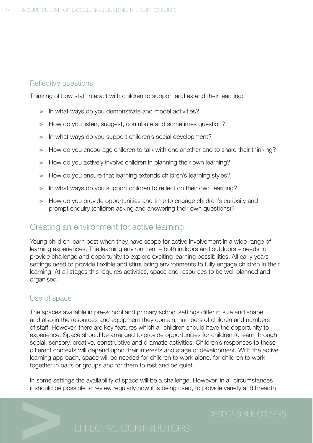### <span id="page-16-0"></span>Reflective questions

Thinking of how staff interact with children to support and extend their learning:

- **>** In what ways do you demonstrate and model activities?
- **>** How do you listen, suggest, contribute and sometimes question?
- **>** In what ways do you support children's social development?
- **>** How do you encourage children to talk with one another and to share their thinking?
- **>** How do you actively involve children in planning their own learning?
- **>** How do you ensure that learning extends children's learning styles?
- **>** In what ways do you support children to reflect on their own learning?
- **>** How do you provide opportunities and time to engage children's curiosity and prompt enquiry (children asking and answering their own questions)?

# Creating an environment for active learning

Young children learn best when they have scope for active involvement in a wide range of learning experiences. The learning environment – both indoors and outdoors – needs to provide challenge and opportunity to explore exciting learning possibilities. All early years settings need to provide flexible and stimulating environments to fully engage children in their learning. At all stages this requires activities, space and resources to be well planned and organised.

### Use of space

The spaces available in pre-school and primary school settings differ in size and shape, and also in the resources and equipment they contain, numbers of children and numbers of staff. However, there are key features which all children should have the opportunity to experience. Space should be arranged to provide opportunities for children to learn through social, sensory, creative, constructive and dramatic activities. Children's responses to these different contexts will depend upon their interests and stage of development. With the active learning approach, space will be needed for children to work alone, for children to work together in pairs or groups and for them to rest and be quiet.

In some settings the availability of space will be a challenge. However, in all circumstances it should be possible to review regularly how it is being used, to provide variety and breadth

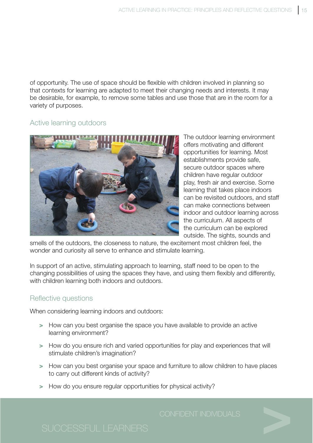of opportunity. The use of space should be flexible with children involved in planning so that contexts for learning are adapted to meet their changing needs and interests. It may be desirable, for example, to remove some tables and use those that are in the room for a variety of purposes.

### Active learning outdoors



The outdoor learning environment offers motivating and different opportunities for learning. Most establishments provide safe, secure outdoor spaces where children have regular outdoor play, fresh air and exercise. Some learning that takes place indoors can be revisited outdoors, and staff can make connections between indoor and outdoor learning across the curriculum. All aspects of the curriculum can be explored outside. The sights, sounds and

smells of the outdoors, the closeness to nature, the excitement most children feel, the wonder and curiosity all serve to enhance and stimulate learning.

In support of an active, stimulating approach to learning, staff need to be open to the changing possibilities of using the spaces they have, and using them flexibly and differently, with children learning both indoors and outdoors.

### Reflective questions

When considering learning indoors and outdoors:

- **>** How can you best organise the space you have available to provide an active learning environment?
- **>** How do you ensure rich and varied opportunities for play and experiences that will stimulate children's imagination?
- **>** How can you best organise your space and furniture to allow children to have places to carry out different kinds of activity?
- **>** How do you ensure regular opportunities for physical activity?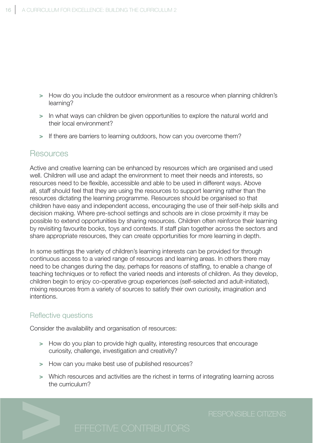- <span id="page-18-0"></span>**>** How do you include the outdoor environment as a resource when planning children's learning?
- **>** In what ways can children be given opportunities to explore the natural world and their local environment?
- **>** If there are barriers to learning outdoors, how can you overcome them?

### Resources

Active and creative learning can be enhanced by resources which are organised and used well. Children will use and adapt the environment to meet their needs and interests, so resources need to be flexible, accessible and able to be used in different ways. Above all, staff should feel that they are using the resources to support learning rather than the resources dictating the learning programme. Resources should be organised so that children have easy and independent access, encouraging the use of their self-help skills and decision making. Where pre-school settings and schools are in close proximity it may be possible to extend opportunities by sharing resources. Children often reinforce their learning by revisiting favourite books, toys and contexts. If staff plan together across the sectors and share appropriate resources, they can create opportunities for more learning in depth.

In some settings the variety of children's learning interests can be provided for through continuous access to a varied range of resources and learning areas. In others there may need to be changes during the day, perhaps for reasons of staffing, to enable a change of teaching techniques or to reflect the varied needs and interests of children. As they develop, children begin to enjoy co-operative group experiences (self-selected and adult-initiated), mixing resources from a variety of sources to satisfy their own curiosity, imagination and intentions.

### Reflective questions

Consider the availability and organisation of resources:

- **>** How do you plan to provide high quality, interesting resources that encourage curiosity, challenge, investigation and creativity?
- **>** How can you make best use of published resources?
- **>** Which resources and activities are the richest in terms of integrating learning across the curriculum?

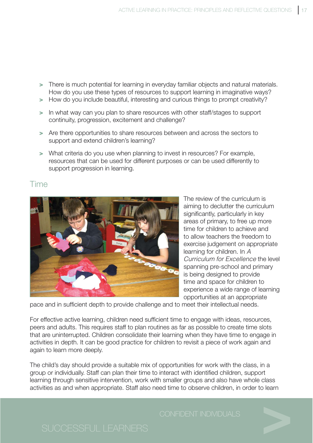- <span id="page-19-0"></span>**>** There is much potential for learning in everyday familiar objects and natural materials. How do you use these types of resources to support learning in imaginative ways?
- **>** How do you include beautiful, interesting and curious things to prompt creativity?
- **>** In what way can you plan to share resources with other staff/stages to support continuity, progression, excitement and challenge?
- **>** Are there opportunities to share resources between and across the sectors to support and extend children's learning?
- **>** What criteria do you use when planning to invest in resources? For example, resources that can be used for different purposes or can be used differently to support progression in learning.

## Time



The review of the curriculum is aiming to declutter the curriculum significantly, particularly in key areas of primary, to free up more time for children to achieve and to allow teachers the freedom to exercise judgement on appropriate learning for children. In A Curriculum for Excellence the level spanning pre-school and primary is being designed to provide time and space for children to experience a wide range of learning opportunities at an appropriate

pace and in sufficient depth to provide challenge and to meet their intellectual needs.

For effective active learning, children need sufficient time to engage with ideas, resources, peers and adults. This requires staff to plan routines as far as possible to create time slots that are uninterrupted. Children consolidate their learning when they have time to engage in activities in depth. It can be good practice for children to revisit a piece of work again and again to learn more deeply.

The child's day should provide a suitable mix of opportunities for work with the class, in a group or individually. Staff can plan their time to interact with identified children, support learning through sensitive intervention, work with smaller groups and also have whole class activities as and when appropriate. Staff also need time to observe children, in order to learn

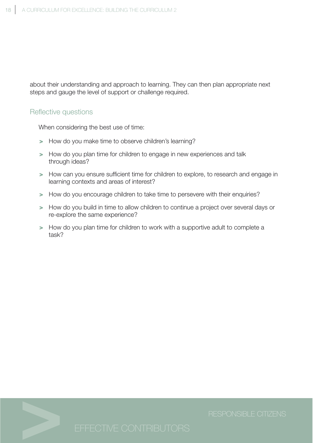about their understanding and approach to learning. They can then plan appropriate next steps and gauge the level of support or challenge required.

### Reflective questions

When considering the best use of time:

- **>** How do you make time to observe children's learning?
- **>** How do you plan time for children to engage in new experiences and talk through ideas?
- **>** How can you ensure sufficient time for children to explore, to research and engage in learning contexts and areas of interest?
- **>** How do you encourage children to take time to persevere with their enquiries?
- **>** How do you build in time to allow children to continue a project over several days or re-explore the same experience?
- **>** How do you plan time for children to work with a supportive adult to complete a task?

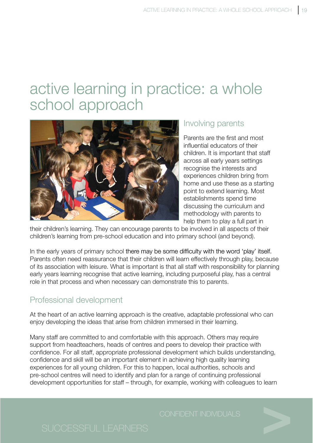# <span id="page-21-0"></span>active learning in practice: a whole school approach



## Involving parents

Parents are the first and most influential educators of their children. It is important that staff across all early years settings recognise the interests and experiences children bring from home and use these as a starting point to extend learning. Most establishments spend time discussing the curriculum and methodology with parents to help them to play a full part in

their children's learning. They can encourage parents to be involved in all aspects of their children's learning from pre-school education and into primary school (and beyond).

In the early years of primary school there may be some difficulty with the word 'play' itself. Parents often need reassurance that their children will learn effectively through play, because of its association with leisure. What is important is that all staff with responsibility for planning early years learning recognise that active learning, including purposeful play, has a central role in that process and when necessary can demonstrate this to parents.

# Professional development

At the heart of an active learning approach is the creative, adaptable professional who can enjoy developing the ideas that arise from children immersed in their learning.

Many staff are committed to and comfortable with this approach. Others may require support from headteachers, heads of centres and peers to develop their practice with confidence. For all staff, appropriate professional development which builds understanding, confidence and skill will be an important element in achieving high quality learning experiences for all young children. For this to happen, local authorities, schools and pre-school centres will need to identify and plan for a range of continuing professional development opportunities for staff – through, for example, working with colleagues to learn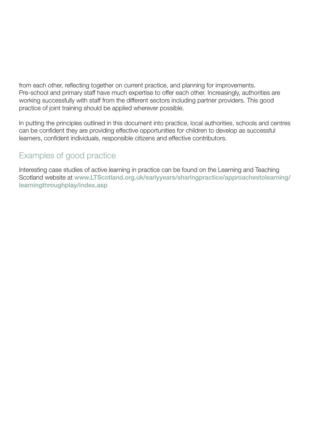<span id="page-22-0"></span>from each other, reflecting together on current practice, and planning for improvements. Pre-school and primary staff have much expertise to offer each other. Increasingly, authorities are working successfully with staff from the different sectors including partner providers. This good practice of joint training should be applied wherever possible.

In putting the principles outlined in this document into practice, local authorities, schools and centres can be confident they are providing effective opportunities for children to develop as successful learners, confident individuals, responsible citizens and effective contributors.

# Examples of good practice

Interesting case studies of active learning in practice can be found on the Learning and Teaching Scotland website at **www.LTScotland.org.uk/earlyyears/sharingpractice/approachestolearning/ learningthroughplay/index.asp**